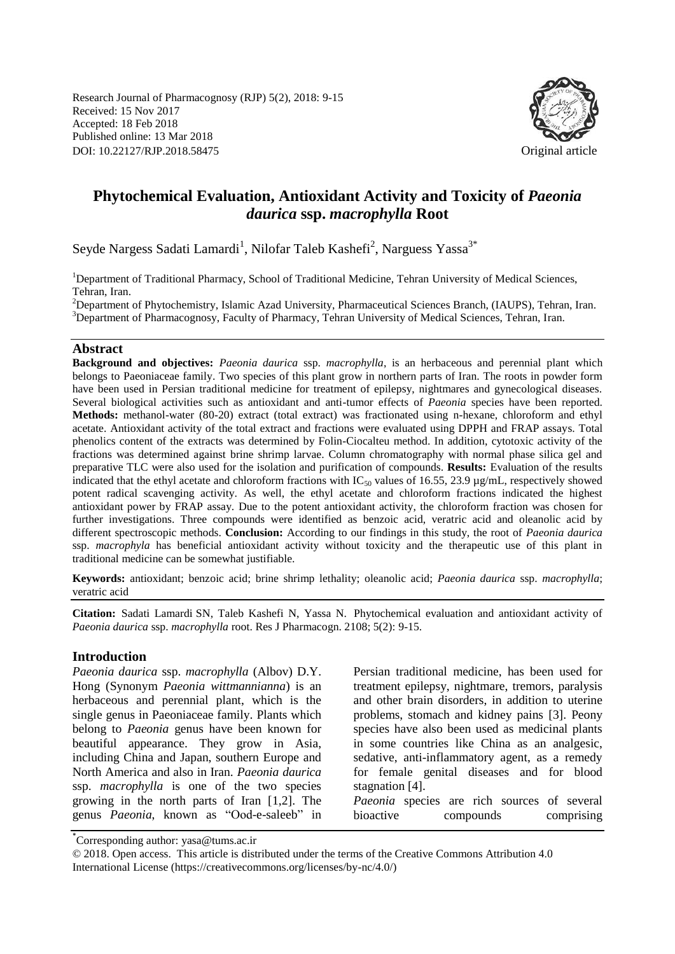Research Journal of Pharmacognosy (RJP) 5(2), 2018: 9-15 Received: 15 Nov 2017 Accepted: 18 Feb 2018 Published online: 13 Mar 2018 DOI: 10.22127/RJP.2018.58475 Original article



# **Phytochemical Evaluation, Antioxidant Activity and Toxicity of** *Paeonia daurica* **ssp.** *macrophylla* **Root**

Seyde Nargess Sadati Lamardi<sup>1</sup>, Nilofar Taleb Kashefi<sup>2</sup>, Narguess Yassa<sup>3\*</sup>

<sup>1</sup>Department of Traditional Pharmacy, School of Traditional Medicine, Tehran University of Medical Sciences, Tehran, Iran.

<sup>2</sup>Department of Phytochemistry, Islamic Azad University, Pharmaceutical Sciences Branch, (IAUPS), Tehran, Iran. <sup>3</sup>Department of Pharmacognosy, Faculty of Pharmacy, Tehran University of Medical Sciences, Tehran, Iran.

#### **Abstract**

**Background and objectives:** *Paeonia daurica* ssp. *macrophylla*, is an herbaceous and perennial plant which belongs to Paeoniaceae family. Two species of this plant grow in northern parts of Iran. The roots in powder form have been used in Persian traditional medicine for treatment of epilepsy, nightmares and gynecological diseases. Several biological activities such as antioxidant and anti-tumor effects of *Paeonia* species have been reported. **Methods:** methanol-water (80-20) extract (total extract) was fractionated using n-hexane, chloroform and ethyl acetate. Antioxidant activity of the total extract and fractions were evaluated using DPPH and FRAP assays. Total phenolics content of the extracts was determined by Folin-Ciocalteu method. In addition, cytotoxic activity of the fractions was determined against brine shrimp larvae. Column chromatography with normal phase silica gel and preparative TLC were also used for the isolation and purification of compounds. **Results:** Evaluation of the results indicated that the ethyl acetate and chloroform fractions with  $IC_{50}$  values of 16.55, 23.9 µg/mL, respectively showed potent radical scavenging activity. As well, the ethyl acetate and chloroform fractions indicated the highest antioxidant power by FRAP assay. Due to the potent antioxidant activity, the chloroform fraction was chosen for further investigations. Three compounds were identified as benzoic acid, veratric acid and oleanolic acid by different spectroscopic methods. **Conclusion:** According to our findings in this study, the root of *Paeonia daurica* ssp. *macrophyla* has beneficial antioxidant activity without toxicity and the therapeutic use of this plant in traditional medicine can be somewhat justifiable.

**Keywords:** antioxidant; benzoic acid; brine shrimp lethality; oleanolic acid; *Paeonia daurica* ssp. *macrophylla*; veratric acid

**Citation:** Sadati Lamardi SN, Taleb Kashefi N, Yassa N. Phytochemical evaluation and antioxidant activity of *Paeonia daurica* ssp. *macrophylla* root. Res J Pharmacogn. 2108; 5(2): 9-15.

#### **Introduction**

*Paeonia daurica* ssp. *macrophylla* (Albov) D.Y. Hong (Synonym *Paeonia wittmannianna*) is an herbaceous and perennial plant, which is the single genus in Paeoniaceae family. Plants which belong to *Paeonia* genus have been known for beautiful appearance. They grow in Asia, including China and Japan, southern Europe and North America and also in Iran. *Paeonia daurica* ssp. *macrophylla* is one of the two species growing in the north parts of Iran [1,2]. The genus *Paeonia*, known as "Ood-e-saleeb" in Persian traditional medicine, has been used for treatment epilepsy, nightmare, tremors, paralysis and other brain disorders, in addition to uterine problems, stomach and kidney pains [3]. Peony species have also been used as medicinal plants in some countries like China as an analgesic, sedative, anti-inflammatory agent, as a remedy for female genital diseases and for blood stagnation [4].

*Paeonia* species are rich sources of several bioactive compounds comprising

<sup>\*</sup> Corresponding author: yasa@tums.ac.ir

<sup>© 2018.</sup> Open access. This article is distributed under the terms of the Creative Commons Attribution 4.0 International License (https://creativecommons.org/licenses/by-nc/4.0/)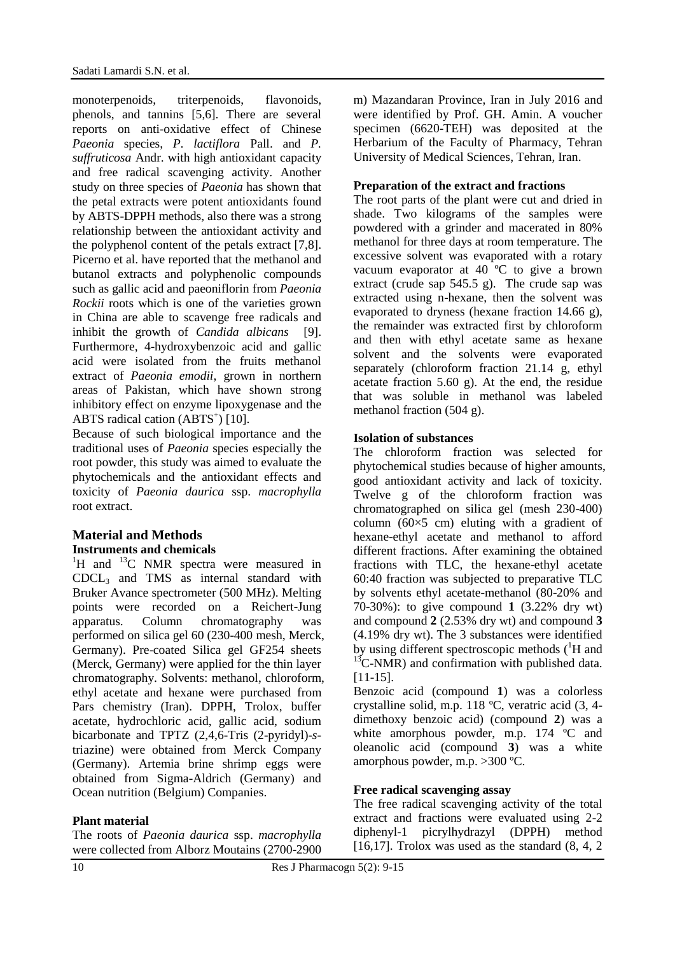monoterpenoids, triterpenoids, flavonoids, phenols, and tannins [5,6]. There are several reports on anti-oxidative effect of Chinese *Paeonia* species, *P. lactiflora* Pall. and *P. suffruticosa* Andr. with high antioxidant capacity and free radical scavenging activity. Another study on three species of *Paeonia* has shown that the petal extracts were potent antioxidants found by ABTS-DPPH methods, also there was a strong relationship between the antioxidant activity and the polyphenol content of the petals extract [7,8]. Picerno et al. have reported that the methanol and butanol extracts and polyphenolic compounds such as gallic acid and paeoniflorin from *Paeonia Rockii* roots which is one of the varieties grown in China are able to scavenge free radicals and inhibit the growth of *Candida albicans* [9]. Furthermore, 4-hydroxybenzoic acid and gallic acid were isolated from the fruits methanol extract of *Paeonia emodii*, grown in northern areas of Pakistan, which have shown strong inhibitory effect on enzyme lipoxygenase and the ABTS radical cation (ABTS<sup>+</sup>) [10].

Because of such biological importance and the traditional uses of *Paeonia* species especially the root powder, this study was aimed to evaluate the phytochemicals and the antioxidant effects and toxicity of *Paeonia daurica* ssp. *macrophylla*  root extract.

## **Material and Methods Instruments and chemicals**

 ${}^{1}$ H and  ${}^{13}$ C NMR spectra were measured in CDCL<sup>3</sup> and TMS as internal standard with Bruker Avance spectrometer (500 MHz). Melting points were recorded on a Reichert-Jung apparatus. Column chromatography was performed on silica gel 60 (230-400 mesh, Merck, Germany). Pre-coated Silica gel GF254 sheets (Merck, Germany) were applied for the thin layer chromatography. Solvents: methanol, chloroform, ethyl acetate and hexane were purchased from Pars chemistry (Iran). DPPH, Trolox, buffer acetate, hydrochloric acid, gallic acid, sodium bicarbonate and TPTZ (2,4,6-Tris (2-pyridyl)-*s*triazine) were obtained from Merck Company (Germany). Artemia brine shrimp eggs were obtained from Sigma-Aldrich (Germany) and Ocean nutrition (Belgium) Companies.

### **Plant material**

The roots of *Paeonia daurica* ssp. *macrophylla* were collected from Alborz Moutains (2700-2900 m) Mazandaran Province, Iran in July 2016 and were identified by Prof. GH. Amin. A voucher specimen (6620-TEH) was deposited at the Herbarium of the Faculty of Pharmacy, Tehran University of Medical Sciences, Tehran, Iran.

#### **Preparation of the extract and fractions**

The root parts of the plant were cut and dried in shade. Two kilograms of the samples were powdered with a grinder and macerated in 80% methanol for three days at room temperature. The excessive solvent was evaporated with a rotary vacuum evaporator at 40 ºC to give a brown extract (crude sap 545.5 g). The crude sap was extracted using n-hexane, then the solvent was evaporated to dryness (hexane fraction 14.66 g), the remainder was extracted first by chloroform and then with ethyl acetate same as hexane solvent and the solvents were evaporated separately (chloroform fraction 21.14 g, ethyl acetate fraction 5.60 g). At the end, the residue that was soluble in methanol was labeled methanol fraction (504 g).

#### **Isolation of substances**

The chloroform fraction was selected for phytochemical studies because of higher amounts, good antioxidant activity and lack of toxicity. Twelve g of the chloroform fraction was chromatographed on silica gel (mesh 230-400) column ( $60 \times 5$  cm) eluting with a gradient of hexane-ethyl acetate and methanol to afford different fractions. After examining the obtained fractions with TLC, the hexane-ethyl acetate 60:40 fraction was subjected to preparative TLC by solvents ethyl acetate-methanol (80-20% and 70-30%): to give compound **1** (3.22% dry wt) and compound **2** (2.53% dry wt) and compound **3** (4.19% dry wt). The 3 substances were identified by using different spectroscopic methods  $({}^{1}H$  and  $^{13}$ C-NMR) and confirmation with published data. [11-15].

Benzoic acid (compound **1**) was a colorless crystalline solid, m.p. 118 ºC, veratric acid (3, 4 dimethoxy benzoic acid) (compound **2**) was a white amorphous powder, m.p. 174 °C and oleanolic acid (compound **3**) was a white amorphous powder, m.p. >300 ºC.

#### **Free radical scavenging assay**

The free radical scavenging activity of the total extract and fractions were evaluated using 2-2 diphenyl-1 picrylhydrazyl (DPPH) method [16,17]. Trolox was used as the standard  $(8, 4, 2)$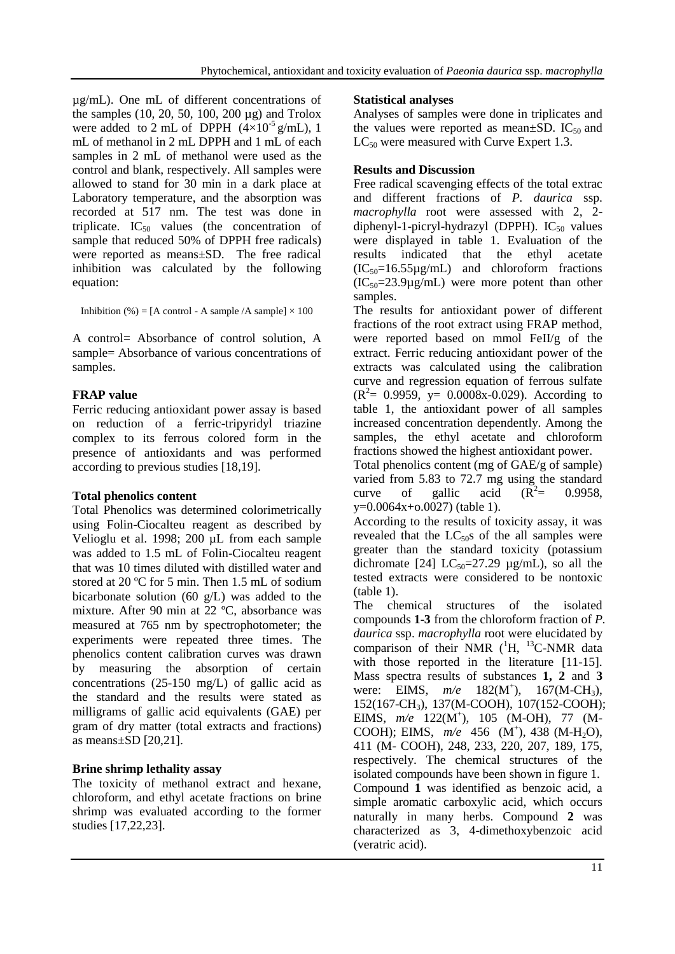µg/mL). One mL of different concentrations of the samples (10, 20, 50, 100, 200 µg) and Trolox were added to 2 mL of DPPH  $(4\times10^{-5} \text{ g/mL})$ , 1 mL of methanol in 2 mL DPPH and 1 mL of each samples in 2 mL of methanol were used as the control and blank, respectively. All samples were allowed to stand for 30 min in a dark place at Laboratory temperature, and the absorption was recorded at 517 nm. The test was done in triplicate.  $IC_{50}$  values (the concentration of sample that reduced 50% of DPPH free radicals) were reported as means±SD. The free radical inhibition was calculated by the following equation:

Inhibition (%) = [A control - A sample  $/A$  sample]  $\times$  100

A control= Absorbance of control solution, A sample= Absorbance of various concentrations of samples.

## **FRAP value**

Ferric reducing antioxidant power assay is based on reduction of a ferric-tripyridyl triazine complex to its ferrous colored form in the presence of antioxidants and was performed according to previous studies [18,19].

### **Total phenolics content**

Total Phenolics was determined colorimetrically using Folin-Ciocalteu reagent as described by Velioglu et al. 1998; 200 µL from each sample was added to 1.5 mL of Folin-Ciocalteu reagent that was 10 times diluted with distilled water and stored at 20 ºC for 5 min. Then 1.5 mL of sodium bicarbonate solution (60  $g/L$ ) was added to the mixture. After 90 min at 22 ºC, absorbance was measured at 765 nm by spectrophotometer; the experiments were repeated three times. The phenolics content calibration curves was drawn by measuring the absorption of certain concentrations (25-150 mg/L) of gallic acid as the standard and the results were stated as milligrams of gallic acid equivalents (GAE) per gram of dry matter (total extracts and fractions) as means±SD [20,21].

## **Brine shrimp lethality assay**

The toxicity of methanol extract and hexane, chloroform, and ethyl acetate fractions on brine shrimp was evaluated according to the former studies [17,22,23].

### **Statistical analyses**

Analyses of samples were done in triplicates and the values were reported as mean $\pm$ SD. IC<sub>50</sub> and  $LC_{50}$  were measured with Curve Expert 1.3.

## **Results and Discussion**

Free radical scavenging effects of the total extrac and different fractions of *P. daurica* ssp. *macrophylla* root were assessed with 2, 2 diphenyl-1-picryl-hydrazyl (DPPH).  $IC_{50}$  values were displayed in table 1. Evaluation of the results indicated that the ethyl acetate  $(IC_{50}=16.55\mu g/mL)$  and chloroform fractions  $(IC_{50}=23.9\mu g/mL)$  were more potent than other samples.

The results for antioxidant power of different fractions of the root extract using FRAP method, were reported based on mmol FeII/g of the extract. Ferric reducing antioxidant power of the extracts was calculated using the calibration curve and regression equation of ferrous sulfate  $(R^2 = 0.9959, y = 0.0008x - 0.029)$ . According to table 1, the antioxidant power of all samples increased concentration dependently. Among the samples, the ethyl acetate and chloroform fractions showed the highest antioxidant power.

Total phenolics content (mg of GAE/g of sample) varied from 5.83 to 72.7 mg using the standard curve of gallic acid  $(R^2=$ = 0.9958, y=0.0064x+o.0027) (table 1).

According to the results of toxicity assay, it was revealed that the  $LC_{50}$ s of the all samples were greater than the standard toxicity (potassium dichromate [24]  $LC_{50} = 27.29$   $\mu$ g/mL), so all the tested extracts were considered to be nontoxic (table 1).

The chemical structures of the isolated compounds **1**-**3** from the chloroform fraction of *P. daurica* ssp. *macrophylla* root were elucidated by comparison of their NMR  $(^1H, ^{13}C\text{-NMR}$  data with those reported in the literature [11-15]. Mass spectra results of substances **1, 2** and **3** were: EIMS,  $m/e$  182(M<sup>+</sup>),  $167(M-CH_3)$ , 152(167-CH3), 137(M-COOH), 107(152-COOH); EIMS,  $m/e$  122(M<sup>+</sup>), 105 (M-OH), 77 (M-COOH); EIMS,  $m/e$  456 (M<sup>+</sup>), 438 (M-H<sub>2</sub>O), 411 (M- COOH), 248, 233, 220, 207, 189, 175, respectively. The chemical structures of the isolated compounds have been shown in figure 1. Compound **1** was identified as benzoic acid, a simple [aromatic](https://en.wikipedia.org/wiki/Aromaticity) [carboxylic acid,](https://en.wikipedia.org/wiki/Carboxylic_acid) which occurs naturally in many herbs. Compound **2** was characterized as 3, 4-dimethoxybenzoic acid (veratric acid).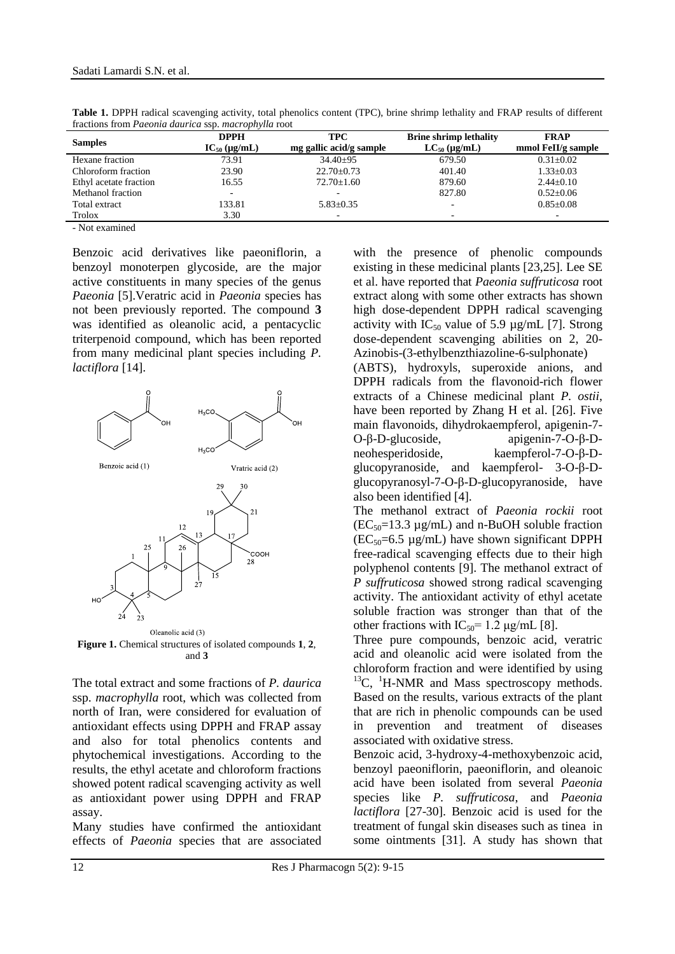| <b>Samples</b>         | <b>DPPH</b><br>$IC_{50} (\mu g/mL)$ | <b>TPC</b><br>mg gallic acid/g sample | <b>Brine shrimp lethality</b><br>$LC_{50}$ (µg/mL) | <b>FRAP</b><br>mmol FeII/g sample |
|------------------------|-------------------------------------|---------------------------------------|----------------------------------------------------|-----------------------------------|
| Hexane fraction        | 73.91                               | $34.40\pm95$                          | 679.50                                             | $0.31 \pm 0.02$                   |
| Chloroform fraction    | 23.90                               | $22.70 \pm 0.73$                      | 401.40                                             | $1.33 \pm 0.03$                   |
| Ethyl acetate fraction | 16.55                               | $72.70 \pm 1.60$                      | 879.60                                             | $2.44 \pm 0.10$                   |
| Methanol fraction      | $\sim$                              |                                       | 827.80                                             | $0.52 \pm 0.06$                   |
| Total extract          | 133.81                              | $5.83+0.35$                           | -                                                  | $0.85 \pm 0.08$                   |
| Trolox<br>$  -$        | 3.30                                | -                                     | -                                                  | $\overline{\phantom{a}}$          |

**Table 1.** DPPH radical scavenging activity, total phenolics content (TPC), brine shrimp lethality and FRAP results of different fractions from *Paeonia daurica* ssp. *macrophylla* root

- Not examined

Benzoic acid derivatives like paeoniflorin, a benzoyl monoterpen glycoside, are the major active constituents in many species of the genus *Paeonia* [5].Veratric acid in *Paeonia* species has not been previously reported. The compound **3** was identified as oleanolic acid, a pentacyclic triterpenoid compound, which has been reported from many medicinal plant species including *P. lactiflora* [14].



**Figure 1.** Chemical structures of isolated compounds **1**, **2**, and **3**

The total extract and some fractions of *P. daurica* ssp. *macrophylla* root, which was collected from north of Iran, were considered for evaluation of antioxidant effects using DPPH and FRAP assay and also for total phenolics contents and phytochemical investigations. According to the results, the ethyl acetate and chloroform fractions showed potent radical scavenging activity as well as antioxidant power using DPPH and FRAP assay.

Many studies have confirmed the antioxidant effects of *Paeonia* species that are associated

with the presence of phenolic compounds existing in these medicinal plants [23,25]. Lee SE et al. have reported that *Paeonia suffruticosa* root extract along with some other extracts has shown high dose-dependent DPPH radical scavenging activity with  $IC_{50}$  value of 5.9  $\mu$ g/mL [7]. Strong dose-dependent scavenging abilities on 2, 20- Azinobis-(3-ethylbenzthiazoline-6-sulphonate)

(ABTS), hydroxyls, superoxide anions, and DPPH radicals from the flavonoid-rich flower extracts of a Chinese medicinal plant *P. ostii*, have been reported by Zhang H et al. [26]. Five main flavonoids, dihydrokaempferol, apigenin-7- O-β-D-glucoside, apigenin-7-O-β-Dneohesperidoside, kaempferol-7-O-β-Dglucopyranoside, and kaempferol- 3-O-β-Dglucopyranosyl-7-O-β-D-glucopyranoside, have also been identified [4].

The methanol extract of *Paeonia rockii* root  $(EC_{50}=13.3 \text{ µg/mL})$  and n-BuOH soluble fraction  $(EC_{50}=6.5 \text{ µg/mL})$  have shown significant DPPH free-radical scavenging effects due to their high polyphenol contents [9]. The methanol extract of *P suffruticosa* showed strong radical scavenging activity. The antioxidant activity of ethyl acetate soluble fraction was stronger than that of the other fractions with  $IC_{50} = 1.2 \mu g/mL$  [8].

Three pure compounds, benzoic acid, veratric acid and oleanolic acid were isolated from the chloroform fraction and were identified by using  $^{13}$ C,  $^{1}$ H-NMR and Mass spectroscopy methods. Based on the results, various extracts of the plant that are rich in phenolic compounds can be used in prevention and treatment of diseases associated with oxidative stress.

Benzoic acid, 3-hydroxy-4-methoxybenzoic acid, benzoyl paeoniflorin, paeoniflorin, and oleanoic acid have been isolated from several *Paeonia* species like *P. suffruticosa*, and *Paeonia lactiflora* [27-30]. Benzoic acid is used for the treatment of fungal skin diseases such as [tinea](https://en.wikipedia.org/wiki/Tinea) in some ointments [31]. A study has shown that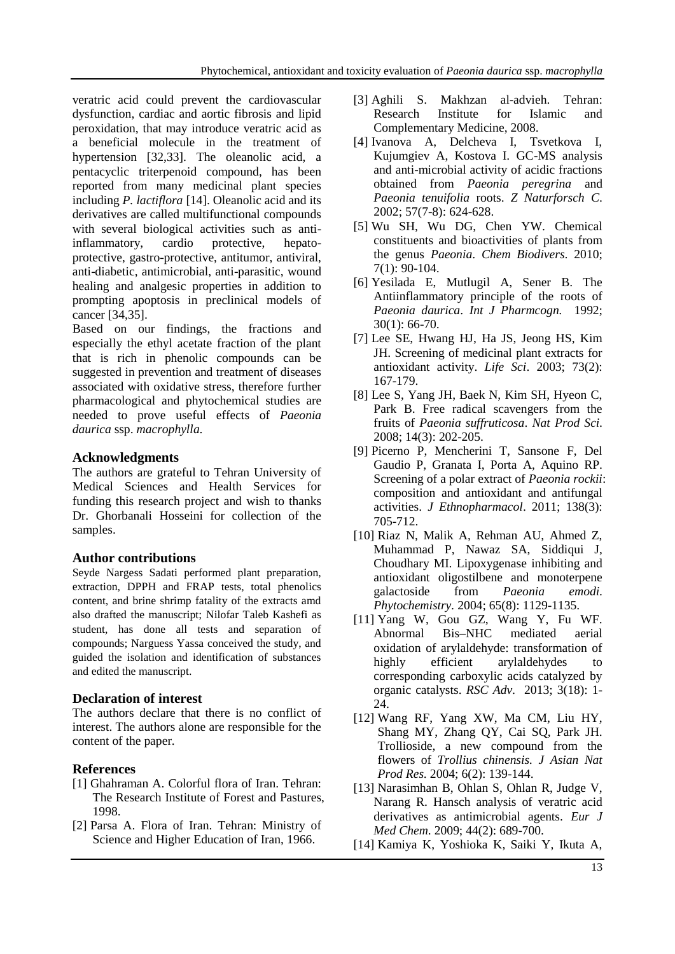veratric acid could prevent the cardiovascular dysfunction, cardiac and aortic fibrosis and lipid peroxidation, that may introduce veratric acid as a beneficial molecule in the treatment of hypertension [32,33]. The oleanolic acid, a pentacyclic triterpenoid compound, has been reported from many medicinal plant species including *P. lactiflora* [14]. Oleanolic acid and its derivatives are called multifunctional compounds with several biological activities such as antiinflammatory, cardio protective, hepatoprotective, gastro-protective, antitumor, antiviral, anti-diabetic, antimicrobial, anti-parasitic, wound healing and analgesic properties in addition to prompting apoptosis in preclinical models of cancer [34,35].

Based on our findings, the fractions and especially the ethyl acetate fraction of the plant that is rich in phenolic compounds can be suggested in prevention and treatment of diseases associated with oxidative stress, therefore further pharmacological and phytochemical studies are needed to prove useful effects of *Paeonia daurica* ssp. *macrophylla*.

## **Acknowledgments**

The authors are grateful to Tehran University of Medical Sciences and Health Services for funding this research project and wish to thanks Dr. Ghorbanali Hosseini for collection of the samples.

# **Author contributions**

Seyde Nargess Sadati performed plant preparation, extraction, DPPH and FRAP tests, total phenolics content, and brine shrimp fatality of the extracts amd also drafted the manuscript; Nilofar Taleb Kashefi as student, has done all tests and separation of compounds; Narguess Yassa conceived the study, and guided the isolation and identification of substances and edited the manuscript.

## **Declaration of interest**

The authors declare that there is no conflict of interest. The authors alone are responsible for the content of the paper.

# **References**

- [1] Ghahraman A. Colorful flora of Iran. Tehran: The Research Institute of Forest and Pastures, 1998.
- [2] Parsa A. Flora of Iran. Tehran: Ministry of Science and Higher Education of Iran, 1966.
- [3] Aghili S. Makhzan al-advieh. Tehran: Research Institute for Islamic and Complementary Medicine, 2008.
- [4] Ivanova A, Delcheva I, Tsvetkova I, Kujumgiev A, Kostova I. GC-MS analysis and anti-microbial activity of acidic fractions obtained from *Paeonia peregrina* and *Paeonia tenuifolia* roots. *Z Naturforsch C*. 2002; 57(7-8): 624-628.
- [5] Wu SH, Wu DG, Chen YW. Chemical constituents and bioactivities of plants from the genus *Paeonia*. *Chem Biodivers*. 2010; 7(1): 90-104.
- [6] Yesilada E, Mutlugil A, Sener B. The Antiinflammatory principle of the roots of *Paeonia daurica*. *Int J Pharmcogn.* 1992; 30(1): 66-70.
- [7] Lee SE, Hwang HJ, Ha JS, Jeong HS, Kim JH. Screening of medicinal plant extracts for antioxidant activity. *Life Sci*. 2003; 73(2): 167-179.
- [8] Lee S, Yang JH, Baek N, Kim SH, Hyeon C, Park B. Free radical scavengers from the fruits of *Paeonia suffruticosa*. *Nat Prod Sci*. 2008; 14(3): 202-205.
- [9] Picerno P, Mencherini T, Sansone F, Del Gaudio P, Granata I, Porta A, [Aquino RP.](https://www.ncbi.nlm.nih.gov/pubmed/?term=Aquino%20RP%5BAuthor%5D&cauthor=true&cauthor_uid=22004890) Screening of a polar extract of *Paeonia rockii*: composition and antioxidant and antifungal activities. *J Ethnopharmacol*. 2011; 138(3): 705-712.
- [10] Riaz N, Malik A, Rehman AU, Ahmed Z, Muhammad P, Nawaz SA, Siddiqui J, Choudhary MI. Lipoxygenase inhibiting and antioxidant oligostilbene and monoterpene galactoside from *Paeonia emodi*. *Phytochemistry.* 2004; 65(8): 1129-1135.
- [11] Yang W, Gou GZ, Wang Y, Fu WF. Abnormal Bis–NHC mediated aerial oxidation of arylaldehyde: transformation of highly efficient arylaldehydes to corresponding carboxylic acids catalyzed by organic catalysts. *[RSC Adv](https://www.google.com/url?sa=t&rct=j&q=&esrc=s&source=web&cd=1&cad=rja&uact=8&ved=0ahUKEwjrpaXR87PYAhWJ4KQKHfmlBvEQFggnMAA&url=http%3A%2F%2Fwww.rsc.org%2Fjournals-books-databases%2Fabout-journals%2Frsc-advances%2F&usg=AOvVaw02bIG8oSTtTDCkWGTy1dgN)*. 2013; 3(18): 1- 24.
- [12] Wang RF, Yang XW, Ma CM, Liu HY, Shang MY, Zhang QY, Cai SQ, Park JH. Trollioside, a new compound from the flowers of *Trollius chinensis. J Asian Nat Prod Res.* 2004; 6(2): 139-144.
- [13] Narasimhan B, Ohlan S, Ohlan R, Judge V, Narang R. Hansch analysis of veratric acid derivatives as antimicrobial agents. *Eur J Med Chem*. 2009; 44(2): 689-700.
- [14] Kamiya K, Yoshioka K, Saiki Y, Ikuta A,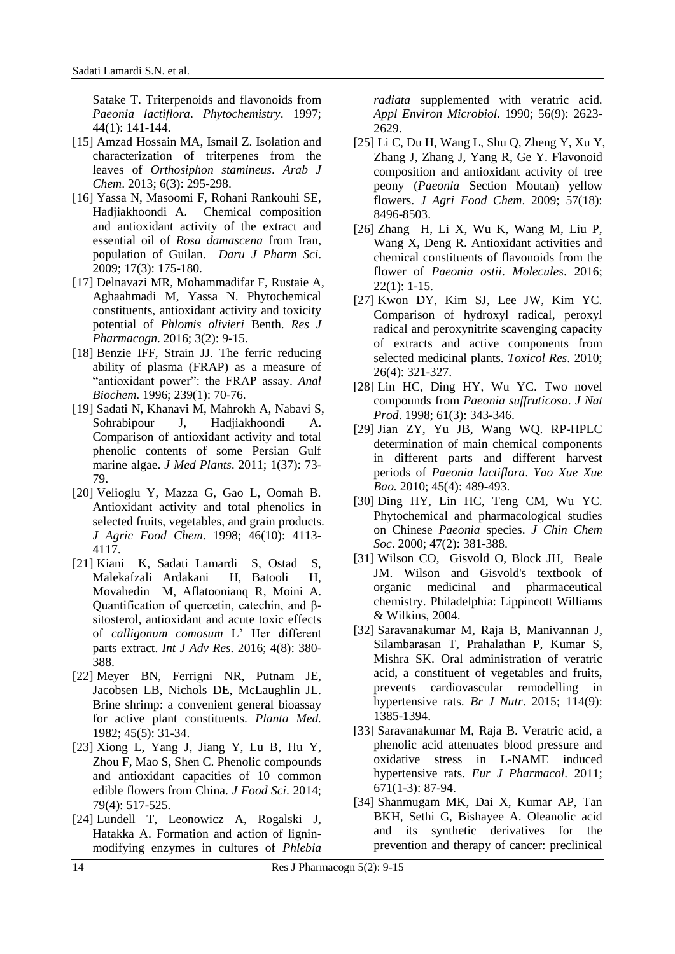Satake T. Triterpenoids and flavonoids from *Paeonia lactiflora*. *Phytochemistry*. 1997; 44(1): 141-144.

- [15] Amzad Hossain MA, Ismail Z. Isolation and characterization of triterpenes from the leaves of *Orthosiphon stamineus*. *Arab J Chem*. 2013; 6(3): 295-298.
- [16] Yassa N, Masoomi F, Rohani Rankouhi SE, Hadjiakhoondi A. Chemical composition and antioxidant activity of the extract and essential oil of *Rosa damascena* from Iran, population of Guilan. *Daru J Pharm Sci*. 2009; 17(3): 175-180.
- [17] Delnavazi MR, Mohammadifar F, Rustaie A, Aghaahmadi M, Yassa N. Phytochemical constituents, antioxidant activity and toxicity potential of *Phlomis olivieri* Benth. *Res J Pharmacogn*. 2016; 3(2): 9-15.
- [18] Benzie IFF, Strain JJ. The ferric reducing ability of plasma (FRAP) as a measure of "antioxidant power": the FRAP assay. *Anal Biochem*. 1996; 239(1): 70-76.
- [19] Sadati N, Khanavi M, Mahrokh A, Nabavi S, Sohrabipour J, Hadjiakhoondi A. Comparison of antioxidant activity and total phenolic contents of some Persian Gulf marine algae. *J Med Plants*. 2011; 1(37): 73- 79.
- [20] Velioglu Y, Mazza G, Gao L, Oomah B. Antioxidant activity and total phenolics in selected fruits, vegetables, and grain products. *J Agric Food Chem*. 1998; 46(10): 4113- 4117.
- [21] Kiani K, Sadati Lamardi S, Ostad S, Malekafzali Ardakani H, Batooli H, Movahedin M, [Aflatoonianq](https://www.researchgate.net/scientific-contributions/2115163524_Reza_Aflatoonianq) R, [Moini](https://www.researchgate.net/scientific-contributions/11681326_Ashraf_Moini) A. Quantification of quercetin, catechin, and βsitosterol, antioxidant and acute toxic effects of *calligonum comosum* L' Her different parts extract. *Int J Adv Res*. 2016; 4(8): 380- 388.
- [22] Meyer BN, Ferrigni NR, Putnam JE, Jacobsen LB, Nichols DE, McLaughlin JL. Brine shrimp: a convenient general bioassay for active plant constituents. *Planta Med.* 1982; 45(5): 31-34.
- [23] Xiong L, Yang J, Jiang Y, Lu B, Hu Y, Zhou F, [Mao S,](https://www.ncbi.nlm.nih.gov/pubmed/?term=Mao%20S%5BAuthor%5D&cauthor=true&cauthor_uid=24621197) [Shen C.](https://www.ncbi.nlm.nih.gov/pubmed/?term=Shen%20C%5BAuthor%5D&cauthor=true&cauthor_uid=24621197) Phenolic compounds and antioxidant capacities of 10 common edible flowers from China. *J Food Sci*. 2014; 79(4): 517-525.
- [24] Lundell T, Leonowicz A, Rogalski J, Hatakka A. Formation and action of ligninmodifying enzymes in cultures of *Phlebia*

*radiata* supplemented with veratric acid. *Appl Environ Microbiol*. 1990; 56(9): 2623- 2629.

- [25] Li C, Du H, Wang L, Shu Q, Zheng Y, Xu Y, [Zhang J, Zhang J,](https://www.ncbi.nlm.nih.gov/pubmed/?term=Zhang%20J%5BAuthor%5D&cauthor=true&cauthor_uid=19711909) [Yang R,](https://www.ncbi.nlm.nih.gov/pubmed/?term=Yang%20R%5BAuthor%5D&cauthor=true&cauthor_uid=19711909) [Ge Y.](https://www.ncbi.nlm.nih.gov/pubmed/?term=Ge%20Y%5BAuthor%5D&cauthor=true&cauthor_uid=19711909) Flavonoid composition and antioxidant activity of tree peony (*Paeonia* Section Moutan) yellow flowers. *J Agri Food Chem*. 2009; 57(18): 8496-8503.
- [26] Zhang H, Li X, Wu K, Wang M, Liu P, Wang X, [Deng](https://www.semanticscholar.org/author/Ruixue-Deng/8788054) R. Antioxidant activities and chemical constituents of flavonoids from the flower of *Paeonia ostii*. *Molecules*. 2016; 22(1): 1-15.
- [27] Kwon DY, Kim SJ, Lee JW, Kim YC. Comparison of hydroxyl radical, peroxyl radical and peroxynitrite scavenging capacity of extracts and active components from selected medicinal plants. *Toxicol Res*. 2010; 26(4): 321-327.
- [28] [Lin HC,](https://www.ncbi.nlm.nih.gov/pubmed/?term=Lin%20HC%5BAuthor%5D&cauthor=true&cauthor_uid=9548873) [Ding HY,](https://www.ncbi.nlm.nih.gov/pubmed/?term=Ding%20HY%5BAuthor%5D&cauthor=true&cauthor_uid=9548873) [Wu YC.](https://www.ncbi.nlm.nih.gov/pubmed/?term=Wu%20YC%5BAuthor%5D&cauthor=true&cauthor_uid=9548873) Two novel compounds from *Paeonia suffruticosa*. *J Nat Prod*. 1998; 61(3): 343-346.
- [29] Jian ZY, Yu JB, Wang WQ. RP-HPLC determination of main chemical components in different parts and different harvest periods of *Paeonia lactiflora*. *Yao Xue Xue Bao.* 2010; 45(4): 489-493.
- [30] Ding HY, Lin HC, Teng CM, Wu YC. Phytochemical and pharmacological studies on Chinese *Paeonia* species. *J Chin Chem Soc*. 2000; 47(2): 381-388.
- [31] [Wilson](https://www.google.com/search?tbo=p&tbm=bks&q=inauthor:%22Charles+Owens+Wilson%22&source=gbs_metadata_r&cad=3) CO, [Gisvold](https://www.google.com/search?tbo=p&tbm=bks&q=inauthor:%22Ole+Gisvold%22&source=gbs_metadata_r&cad=3) O, [Block](https://www.google.com/search?tbo=p&tbm=bks&q=inauthor:%22John+H.+Block%22&source=gbs_metadata_r&cad=3) JH, [Beale](https://www.google.com/search?tbo=p&tbm=bks&q=inauthor:%22John+Marlowe+Beale%22&source=gbs_metadata_r&cad=3) JM. Wilson and Gisvold's textbook of organic medicinal and pharmaceutical chemistry. Philadelphia: Lippincott Williams & Wilkins, 2004.
- [32] [Saravanakumar M,](https://www.ncbi.nlm.nih.gov/pubmed/?term=Saravanakumar%20M%5BAuthor%5D&cauthor=true&cauthor_uid=26346559) [Raja B,](https://www.ncbi.nlm.nih.gov/pubmed/?term=Raja%20B%5BAuthor%5D&cauthor=true&cauthor_uid=26346559) [Manivannan J,](https://www.ncbi.nlm.nih.gov/pubmed/?term=Manivannan%20J%5BAuthor%5D&cauthor=true&cauthor_uid=26346559) [Silambarasan T,](https://www.ncbi.nlm.nih.gov/pubmed/?term=Silambarasan%20T%5BAuthor%5D&cauthor=true&cauthor_uid=26346559) [Prahalathan P,](https://www.ncbi.nlm.nih.gov/pubmed/?term=Prahalathan%20P%5BAuthor%5D&cauthor=true&cauthor_uid=26346559) [Kumar S,](https://www.ncbi.nlm.nih.gov/pubmed/?term=Kumar%20S%5BAuthor%5D&cauthor=true&cauthor_uid=26346559) [Mishra SK.](https://www.ncbi.nlm.nih.gov/pubmed/?term=Mishra%20SK%5BAuthor%5D&cauthor=true&cauthor_uid=26346559) Oral administration of veratric acid, a constituent of vegetables and fruits, prevents cardiovascular remodelling in hypertensive rats. *Br J Nutr*. 2015; 114(9): 1385-1394.
- [33] Saravanakumar M, Raja B. Veratric acid, a phenolic acid attenuates blood pressure and oxidative stress in L-NAME induced hypertensive rats. *Eur J Pharmacol*. 2011; 671(1-3): 87-94.
- [34] Shanmugam MK, Dai X, Kumar AP, Tan BKH, Sethi G, Bishayee A. Oleanolic acid and its synthetic derivatives for the prevention and therapy of cancer: preclinical